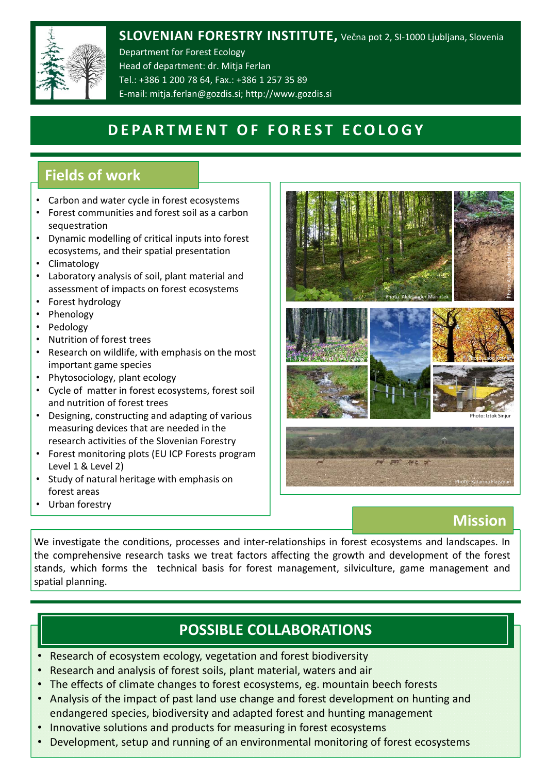

### **SLOVENIAN FORESTRY INSTITUTE,** Večna pot 2, SI‐1000 Ljubljana, Slovenia

Department for Forest Ecology Head of department: dr. Mitja Ferlan Tel.: +386 1 200 78 64, Fax.: +386 1 257 35 89 E‐mail: mitja.ferlan@gozdis.si; http://www.gozdis.si

# **DEPARTMENT OF FOREST ECOLOGY**

# **Fields of work**

- Carbon and water cycle in forest ecosystems
- Forest communities and forest soil as a carbon sequestration
- Dynamic modelling of critical inputs into forest ecosystems, and their spatial presentation
- Climatology
- Laboratory analysis of soil, plant material and assessment of impacts on forest ecosystems
- Forest hydrology
- Phenology
- Pedology
- Nutrition of forest trees
- Research on wildlife, with emphasis on the most important game species
- Phytosociology, plant ecology
- Cycle of matter in forest ecosystems, forest soil and nutrition of forest trees
- Designing, constructing and adapting of various measuring devices that are needed in the research activities of the Slovenian Forestry
- Forest monitoring plots (EU ICP Forests program Level 1 & Level 2)
- Study of natural heritage with emphasis on forest areas
- Urban forestry



### **Mission**

Photo: Katarina Flajšman

We investigate the conditions, processes and inter-relationships in forest ecosystems and landscapes. In the comprehensive research tasks we treat factors affecting the growth and development of the forest stands, which forms the technical basis for forest management, silviculture, game management and spatial planning.

# **POSSIBLE COLLABORATIONS**

- Research of ecosystem ecology, vegetation and forest biodiversity
- Research and analysis of forest soils, plant material, waters and air
- The effects of climate changes to forest ecosystems, eg. mountain beech forests
- Analysis of the impact of past land use change and forest development on hunting and endangered species, biodiversity and adapted forest and hunting management
- Innovative solutions and products for measuring in forest ecosystems
- Development, setup and running of an environmental monitoring of forest ecosystems